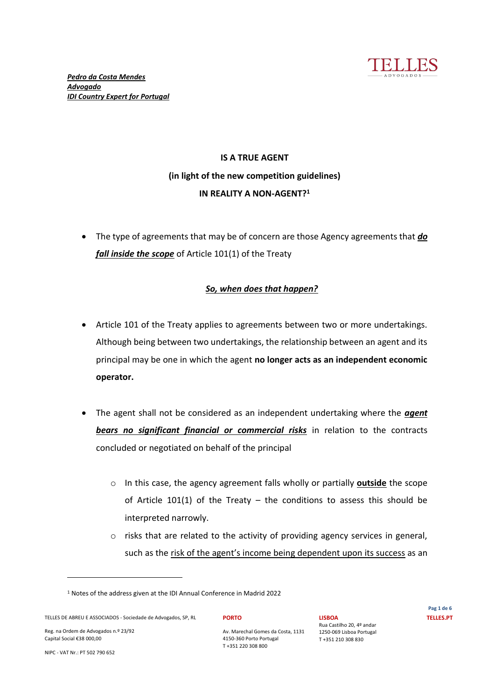

# **IS A TRUE AGENT (in light of the new competition guidelines) IN REALITY A NON-AGENT?1**

• The type of agreements that may be of concern are those Agency agreements that *do fall inside the scope* of Article 101(1) of the Treaty

# *So, when does that happen?*

- Article 101 of the Treaty applies to agreements between two or more undertakings. Although being between two undertakings, the relationship between an agent and its principal may be one in which the agent **no longer acts as an independent economic operator.**
- x The agent shall not be considered as an independent undertaking where the *agent bears no significant financial or commercial risks* in relation to the contracts concluded or negotiated on behalf of the principal
	- o In this case, the agency agreement falls wholly or partially **outside** the scope of Article 101(1) of the Treaty  $-$  the conditions to assess this should be interpreted narrowly.
	- o risks that are related to the activity of providing agency services in general, such as the risk of the agent's income being dependent upon its success as an

**LISBOA**

Rua Castilho 20, 4º andar 1250-069 Lisboa Portugal T +351 210 308 830

Reg. na Ordem de Advogados n.º 23/92 Capital Social €38 000,00

**PORTO**

Av. Marechal Gomes da Costa, 1131 4150-360 Porto Portugal T +351 220 308 800

NIPC - VAT Nr.: PT 502 790 652

<sup>1</sup> Notes of the address given at the IDI Annual Conference in Madrid 2022

TELLES DE ABREU E ASSOCIADOS - Sociedade de Advogados, SP, RL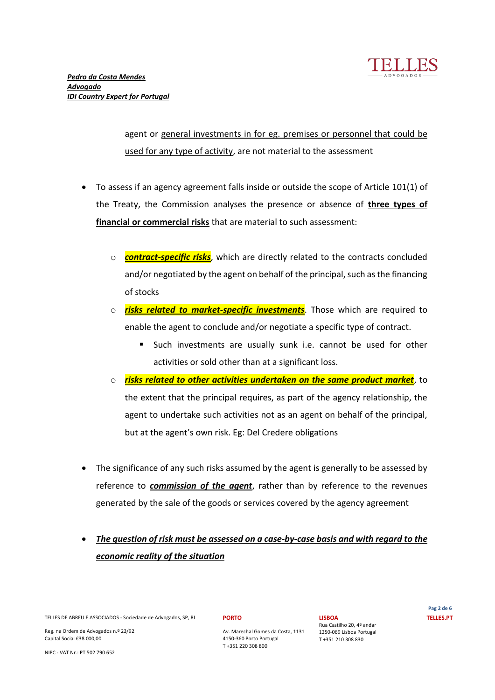

agent or general investments in for eg. premises or personnel that could be used for any type of activity, are not material to the assessment

- To assess if an agency agreement falls inside or outside the scope of Article 101(1) of the Treaty, the Commission analyses the presence or absence of **three types of financial or commercial risks** that are material to such assessment:
	- o *contract-specific risks*, which are directly related to the contracts concluded and/or negotiated by the agent on behalf of the principal, such as the financing of stocks
	- o *risks related to market-specific investments*. Those which are required to enable the agent to conclude and/or negotiate a specific type of contract.
		- Such investments are usually sunk i.e. cannot be used for other activities or sold other than at a significant loss.
	- $\circ$  *risks related to other activities undertaken on the same product market.* **to** the extent that the principal requires, as part of the agency relationship, the agent to undertake such activities not as an agent on behalf of the principal, but at the agent's own risk. Eg: Del Credere obligations
- The significance of any such risks assumed by the agent is generally to be assessed by reference to *commission of the agent*, rather than by reference to the revenues generated by the sale of the goods or services covered by the agency agreement
- x *The question of risk must be assessed on a case-by-case basis and with regard to the economic reality of the situation*

TELLES DE ABREU E ASSOCIADOS - Sociedade de Advogados, SP, RL

Reg. na Ordem de Advogados n.º 23/92 Capital Social €38 000,00

NIPC - VAT Nr.: PT 502 790 652

### **PORTO**

Av. Marechal Gomes da Costa, 1131 4150-360 Porto Portugal T +351 220 308 800

**LISBOA** Rua Castilho 20, 4º andar 1250-069 Lisboa Portugal T +351 210 308 830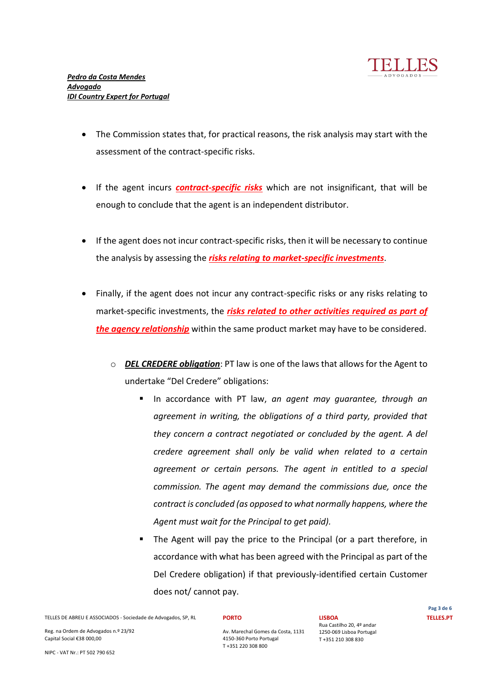

- The Commission states that, for practical reasons, the risk analysis may start with the assessment of the contract-specific risks.
- If the agent incurs *contract-specific risks* which are not insignificant, that will be enough to conclude that the agent is an independent distributor.
- If the agent does not incur contract-specific risks, then it will be necessary to continue the analysis by assessing the *risks relating to market-specific investments*.
- Finally, if the agent does not incur any contract-specific risks or any risks relating to market-specific investments, the *risks related to other activities required as part of the agency relationship* within the same product market may have to be considered.
	- o *DEL CREDERE obligation*: PT law is one of the laws that allows for the Agent to undertake "Del Credere" obligations:
		- In accordance with PT law, *an agent may guarantee, through an agreement in writing, the obligations of a third party, provided that they concern a contract negotiated or concluded by the agent. A del credere agreement shall only be valid when related to a certain agreement or certain persons. The agent in entitled to a special commission. The agent may demand the commissions due, once the contract is concluded (as opposed to what normally happens, where the Agent must wait for the Principal to get paid).*
		- The Agent will pay the price to the Principal (or a part therefore, in accordance with what has been agreed with the Principal as part of the Del Credere obligation) if that previously-identified certain Customer does not/ cannot pay.

TELLES DE ABREU E ASSOCIADOS - Sociedade de Advogados, SP, RL

Reg. na Ordem de Advogados n.º 23/92 Capital Social €38 000,00

NIPC - VAT Nr.: PT 502 790 652

### **PORTO**

Av. Marechal Gomes da Costa, 1131 4150-360 Porto Portugal T +351 220 308 800

**LISBOA** Rua Castilho 20, 4º andar 1250-069 Lisboa Portugal T +351 210 308 830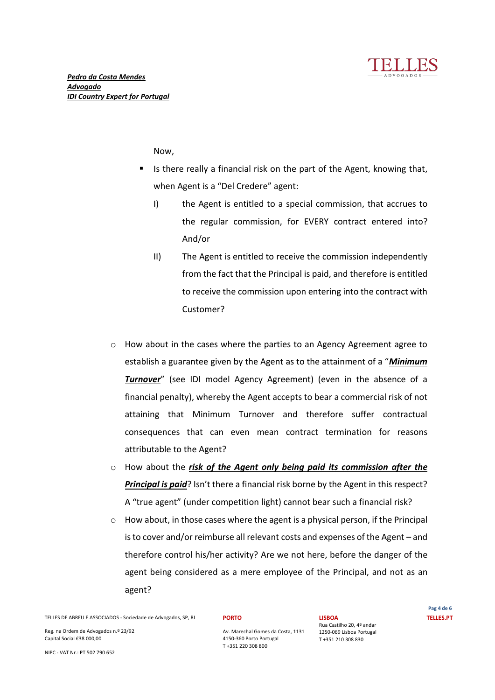

Now,

- Is there really a financial risk on the part of the Agent, knowing that, when Agent is a "Del Credere" agent:
	- I) the Agent is entitled to a special commission, that accrues to the regular commission, for EVERY contract entered into? And/or
	- II) The Agent is entitled to receive the commission independently from the fact that the Principal is paid, and therefore is entitled to receive the commission upon entering into the contract with Customer?
- o How about in the cases where the parties to an Agency Agreement agree to establish a guarantee given by the Agent as to the attainment of a "*Minimum Turnover* (see IDI model Agency Agreement) (even in the absence of a financial penalty), whereby the Agent accepts to bear a commercial risk of not attaining that Minimum Turnover and therefore suffer contractual consequences that can even mean contract termination for reasons attributable to the Agent?
- o How about the *risk of the Agent only being paid its commission after the*  **Principal is paid**? Isn't there a financial risk borne by the Agent in this respect? A "true agent" (under competition light) cannot bear such a financial risk?
- $\circ$  How about, in those cases where the agent is a physical person, if the Principal is to cover and/or reimburse all relevant costs and expenses of the Agent  $-$  and therefore control his/her activity? Are we not here, before the danger of the agent being considered as a mere employee of the Principal, and not as an agent?

TELLES DE ABREU E ASSOCIADOS - Sociedade de Advogados, SP, RL

Reg. na Ordem de Advogados n.º 23/92 Capital Social €38 000,00

NIPC - VAT Nr.: PT 502 790 652

### **PORTO**

Av. Marechal Gomes da Costa, 1131 4150-360 Porto Portugal T +351 220 308 800

**LISBOA** Rua Castilho 20, 4º andar 1250-069 Lisboa Portugal T +351 210 308 830

**Pag 4 de 6 TELLES.PT**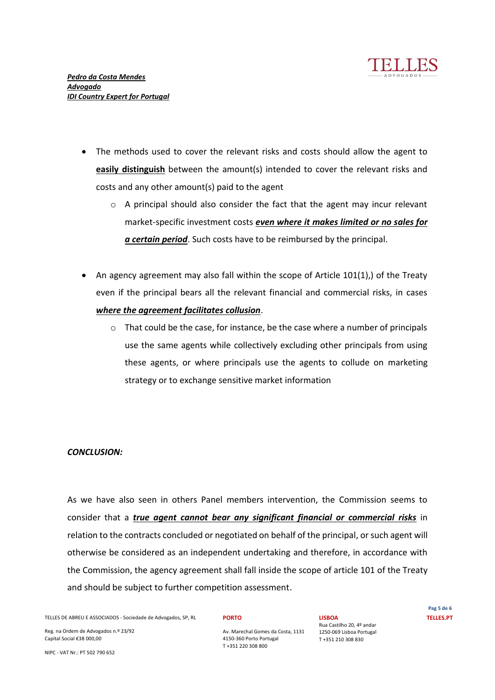

- The methods used to cover the relevant risks and costs should allow the agent to **easily distinguish** between the amount(s) intended to cover the relevant risks and costs and any other amount(s) paid to the agent
	- o A principal should also consider the fact that the agent may incur relevant market-specific investment costs *even where it makes limited or no sales for a certain period*. Such costs have to be reimbursed by the principal.
- An agency agreement may also fall within the scope of Article  $101(1)$ , of the Treaty even if the principal bears all the relevant financial and commercial risks, in cases *where the agreement facilitates collusion*.
	- $\circ$  That could be the case, for instance, be the case where a number of principals use the same agents while collectively excluding other principals from using these agents, or where principals use the agents to collude on marketing strategy or to exchange sensitive market information

## *CONCLUSION:*

As we have also seen in others Panel members intervention, the Commission seems to consider that a *true agent cannot bear any significant financial or commercial risks* in relation to the contracts concluded or negotiated on behalf of the principal, or such agent will otherwise be considered as an independent undertaking and therefore, in accordance with the Commission, the agency agreement shall fall inside the scope of article 101 of the Treaty and should be subject to further competition assessment.

TELLES DE ABREU E ASSOCIADOS - Sociedade de Advogados, SP, RL

Reg. na Ordem de Advogados n.º 23/92 Capital Social €38 000,00

NIPC - VAT Nr.: PT 502 790 652

#### **PORTO**

Av. Marechal Gomes da Costa, 1131 4150-360 Porto Portugal T +351 220 308 800

**LISBOA**

Rua Castilho 20, 4º andar 1250-069 Lisboa Portugal T +351 210 308 830

**Pag 5 de 6 TELLES.PT**